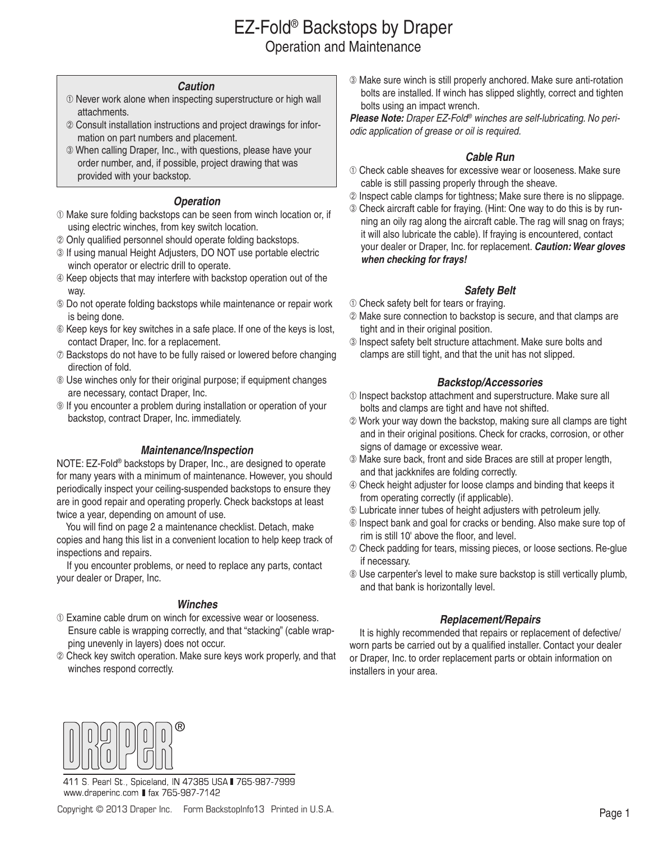## EZ-Fold® Backstops by Draper Operation and Maintenance

#### *Caution*

- $<sup>①</sup>$  Never work alone when inspecting superstructure or high wall</sup> attachments.
- Consult installation instructions and project drawings for infor mation on part numbers and placement.
- When calling Draper, Inc., with questions, please have your order number, and, if possible, project drawing that was provided with your backstop.

#### *Operation*

- Make sure folding backstops can be seen from winch location or, if using electric winches, from key switch location.
- Only qualified personnel should operate folding backstops.
- **If using manual Height Adjusters, DO NOT use portable electric** winch operator or electric drill to operate.
- $\circledA$  Keep objects that may interfere with backstop operation out of the way.
- Do not operate folding backstops while maintenance or repair work is being done.
- $\circledR$  Keep keys for key switches in a safe place. If one of the keys is lost, contact Draper, Inc. for a replacement.
- $\oslash$  Backstops do not have to be fully raised or lowered before changing direction of fold.
- Use winches only for their original purpose; if equipment changes are necessary, contact Draper, Inc.
- **If you encounter a problem during installation or operation of your** backstop, contract Draper, Inc. immediately.

#### *Maintenance/Inspection*

NOTE: EZ-Fold® backstops by Draper, Inc., are designed to operate for many years with a minimum of maintenance. However, you should periodically inspect your ceiling-suspended backstops to ensure they are in good repair and operating properly. Check backstops at least twice a year, depending on amount of use.

 You will find on page 2 a maintenance checklist. Detach, make copies and hang this list in a convenient location to help keep track of inspections and repairs.

 If you encounter problems, or need to replace any parts, contact your dealer or Draper, Inc.

#### *Winches*

- Examine cable drum on winch for excessive wear or looseness. Ensure cable is wrapping correctly, and that "stacking" (cable wrap ping unevenly in layers) does not occur.
- Check key switch operation. Make sure keys work properly, and that winches respond correctly.

 Make sure winch is still properly anchored. Make sure anti-rotation bolts are installed. If winch has slipped slightly, correct and tighten bolts using an impact wrench.

*Please Note: Draper EZ-Fold® winches are self-lubricating. No periodic application of grease or oil is required.* 

#### *Cable Run*

- Check cable sheaves for excessive wear or looseness. Make sure cable is still passing properly through the sheave.
- 2 Inspect cable clamps for tightness; Make sure there is no slippage.
- Check aircraft cable for fraying. (Hint: One way to do this is by run ning an oily rag along the aircraft cable. The rag will snag on frays; it will also lubricate the cable). If fraying is encountered, contact your dealer or Draper, Inc. for replacement. *Caution: Wear gloves when checking for frays!*

#### *Safety Belt*

- $\odot$  Check safety belt for tears or fraying.
- Make sure connection to backstop is secure, and that clamps are tight and in their original position.
- Inspect safety belt structure attachment. Make sure bolts and clamps are still tight, and that the unit has not slipped.

#### *Backstop/Accessories*

- Inspect backstop attachment and superstructure. Make sure all bolts and clamps are tight and have not shifted.
- Work your way down the backstop, making sure all clamps are tight and in their original positions. Check for cracks, corrosion, or other signs of damage or excessive wear.
- Make sure back, front and side Braces are still at proper length, and that jackknifes are folding correctly.
- Check height adjuster for loose clamps and binding that keeps it from operating correctly (if applicable).
- Lubricate inner tubes of height adjusters with petroleum jelly.
- Inspect bank and goal for cracks or bending. Also make sure top of rim is still 10' above the floor, and level.
- Check padding for tears, missing pieces, or loose sections. Re-glue if necessary.
- Use carpenter's level to make sure backstop is still vertically plumb, and that bank is horizontally level.

#### *Replacement/Repairs*

 It is highly recommended that repairs or replacement of defective/ worn parts be carried out by a qualified installer. Contact your dealer or Draper, Inc. to order replacement parts or obtain information on installers in your area.



411 S. Pearl St., Spiceland, IN 47385 USA 765-987-7999 www.draperinc.com ■ fax 765-987-7142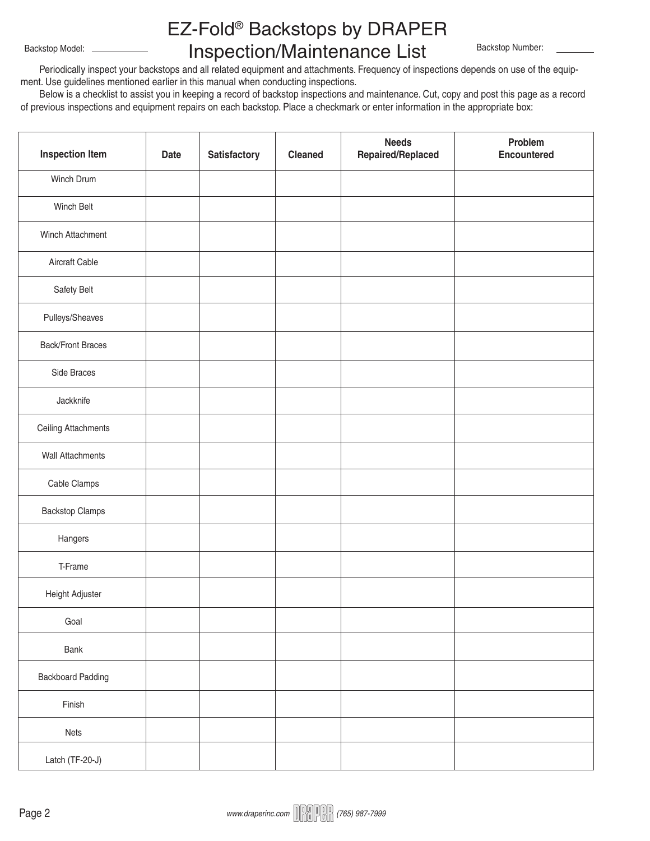# EZ-Fold® Backstops by DRAPER Inspection/Maintenance List Backstop Model: Backstop Number:

 Periodically inspect your backstops and all related equipment and attachments. Frequency of inspections depends on use of the equipment. Use guidelines mentioned earlier in this manual when conducting inspections.

 Below is a checklist to assist you in keeping a record of backstop inspections and maintenance. Cut, copy and post this page as a record of previous inspections and equipment repairs on each backstop. Place a checkmark or enter information in the appropriate box:

| <b>Inspection Item</b>   | <b>Date</b> | Satisfactory | <b>Cleaned</b> | <b>Needs</b><br>Repaired/Replaced | Problem<br><b>Encountered</b> |
|--------------------------|-------------|--------------|----------------|-----------------------------------|-------------------------------|
| Winch Drum               |             |              |                |                                   |                               |
| Winch Belt               |             |              |                |                                   |                               |
| Winch Attachment         |             |              |                |                                   |                               |
| Aircraft Cable           |             |              |                |                                   |                               |
| Safety Belt              |             |              |                |                                   |                               |
| Pulleys/Sheaves          |             |              |                |                                   |                               |
| <b>Back/Front Braces</b> |             |              |                |                                   |                               |
| Side Braces              |             |              |                |                                   |                               |
| Jackknife                |             |              |                |                                   |                               |
| Ceiling Attachments      |             |              |                |                                   |                               |
| Wall Attachments         |             |              |                |                                   |                               |
| Cable Clamps             |             |              |                |                                   |                               |
| <b>Backstop Clamps</b>   |             |              |                |                                   |                               |
| Hangers                  |             |              |                |                                   |                               |
| T-Frame                  |             |              |                |                                   |                               |
| Height Adjuster          |             |              |                |                                   |                               |
| Goal                     |             |              |                |                                   |                               |
| Bank                     |             |              |                |                                   |                               |
| <b>Backboard Padding</b> |             |              |                |                                   |                               |
| Finish                   |             |              |                |                                   |                               |
| Nets                     |             |              |                |                                   |                               |
| Latch (TF-20-J)          |             |              |                |                                   |                               |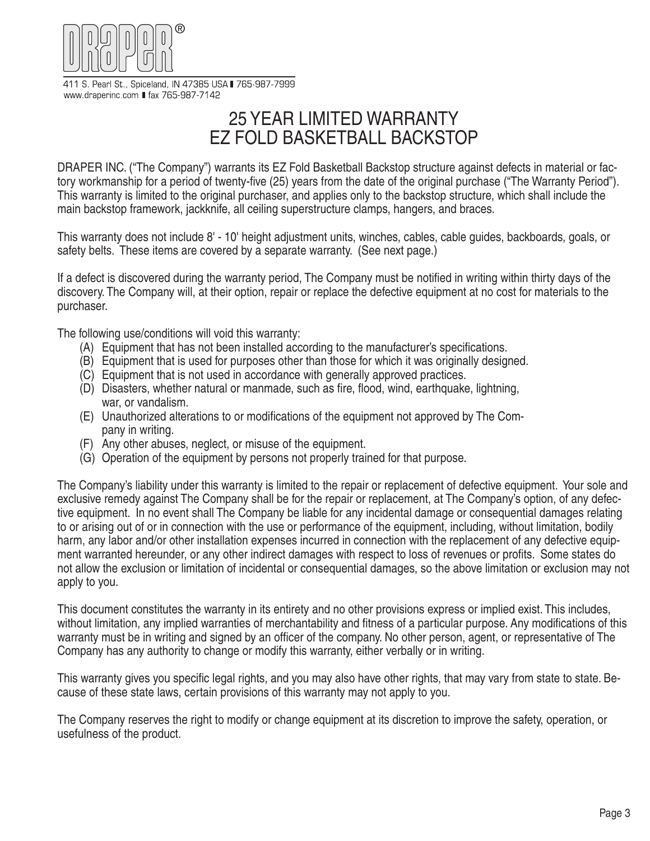

411 S. Pearl St., Spiceland, IN 47385 USA 765-987-7999 www.draperinc.com ■ fax 765-987-7142

## 25 YEAR LIMITED WARRANTY EZ FOLD BASKETBALL BACKSTOP

DRAPER INC. ("The Company") warrants its EZ Fold Basketball Backstop structure against defects in material or factory workmanship for a period of twenty-five (25) years from the date of the original purchase ("The Warranty Period"). This warranty is limited to the original purchaser, and applies only to the backstop structure, which shall include the main backstop framework, jackknife, all ceiling superstructure clamps, hangers, and braces.

This warranty does not include 8' - 10' height adjustment units, winches, cables, cable guides, backboards, goals, or safety belts. These items are covered by a separate warranty. (See next page.)

If a defect is discovered during the warranty period, The Company must be notified in writing within thirty days of the discovery. The Company will, at their option, repair or replace the defective equipment at no cost for materials to the purchaser.

The following use/conditions will void this warranty:

- (A) Equipment that has not been installed according to the manufacturer's specifications.
- (B) Equipment that is used for purposes other than those for which it was originally designed.
- (C) Equipment that is not used in accordance with generally approved practices.
- (D) Disasters, whether natural or manmade, such as fire, flood, wind, earthquake, lightning, war, or vandalism.
- (E) Unauthorized alterations to or modifications of the equipment not approved by The Com pany in writing.
- (F) Any other abuses, neglect, or misuse of the equipment.
- (G) Operation of the equipment by persons not properly trained for that purpose.

The Company's liability under this warranty is limited to the repair or replacement of defective equipment. Your sole and exclusive remedy against The Company shall be for the repair or replacement, at The Company's option, of any defective equipment. In no event shall The Company be liable for any incidental damage or consequential damages relating to or arising out of or in connection with the use or performance of the equipment, including, without limitation, bodily harm, any labor and/or other installation expenses incurred in connection with the replacement of any defective equipment warranted hereunder, or any other indirect damages with respect to loss of revenues or profits. Some states do not allow the exclusion or limitation of incidental or consequential damages, so the above limitation or exclusion may not apply to you.

This document constitutes the warranty in its entirety and no other provisions express or implied exist. This includes, without limitation, any implied warranties of merchantability and fitness of a particular purpose. Any modifications of this warranty must be in writing and signed by an officer of the company. No other person, agent, or representative of The Company has any authority to change or modify this warranty, either verbally or in writing.

This warranty gives you specific legal rights, and you may also have other rights, that may vary from state to state. Because of these state laws, certain provisions of this warranty may not apply to you.

The Company reserves the right to modify or change equipment at its discretion to improve the safety, operation, or usefulness of the product.